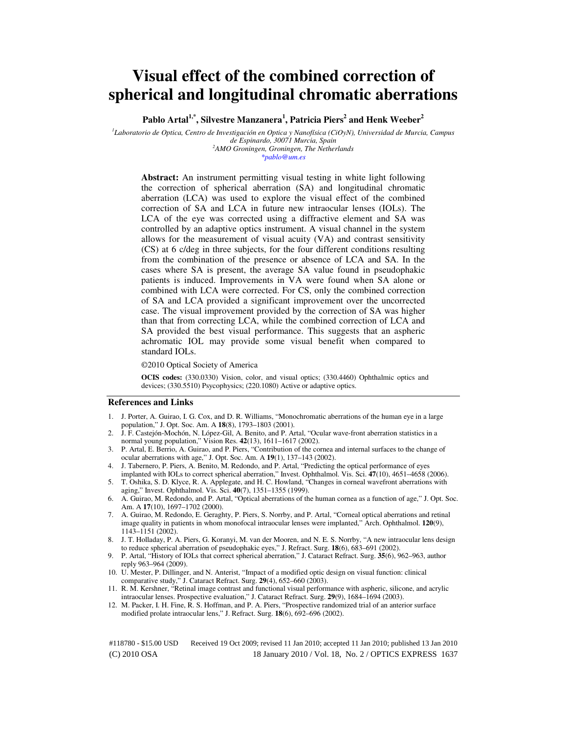# **Visual effect of the combined correction of spherical and longitudinal chromatic aberrations**

**Pablo Artal1,\*, Silvestre Manzanera<sup>1</sup> , Patricia Piers<sup>2</sup> and Henk Weeber<sup>2</sup>**

*1 Laboratorio de Optica, Centro de Investigación en Optica y Nanofísica (CiOyN), Universidad de Murcia, Campus de Espinardo, 30071 Murcia, Spain <sup>2</sup>AMO Groningen, Groningen, The Netherlands* 

*\*pablo@um.es* 

**Abstract:** An instrument permitting visual testing in white light following the correction of spherical aberration (SA) and longitudinal chromatic aberration (LCA) was used to explore the visual effect of the combined correction of SA and LCA in future new intraocular lenses (IOLs). The LCA of the eye was corrected using a diffractive element and SA was controlled by an adaptive optics instrument. A visual channel in the system allows for the measurement of visual acuity (VA) and contrast sensitivity (CS) at 6 c/deg in three subjects, for the four different conditions resulting from the combination of the presence or absence of LCA and SA. In the cases where SA is present, the average SA value found in pseudophakic patients is induced. Improvements in VA were found when SA alone or combined with LCA were corrected. For CS, only the combined correction of SA and LCA provided a significant improvement over the uncorrected case. The visual improvement provided by the correction of SA was higher than that from correcting LCA, while the combined correction of LCA and SA provided the best visual performance. This suggests that an aspheric achromatic IOL may provide some visual benefit when compared to standard IOLs.

©2010 Optical Society of America

**OCIS codes:** (330.0330) Vision, color, and visual optics; (330.4460) Ophthalmic optics and devices; (330.5510) Psycophysics; (220.1080) Active or adaptive optics.

## **References and Links**

- 1. J. Porter, A. Guirao, I. G. Cox, and D. R. Williams, "Monochromatic aberrations of the human eye in a large population," J. Opt. Soc. Am. A **18**(8), 1793–1803 (2001).
- 2. J. F. Castejón-Mochón, N. López-Gil, A. Benito, and P. Artal, "Ocular wave-front aberration statistics in a normal young population," Vision Res. **42**(13), 1611–1617 (2002).
- 3. P. Artal, E. Berrio, A. Guirao, and P. Piers, "Contribution of the cornea and internal surfaces to the change of ocular aberrations with age," J. Opt. Soc. Am. A **19**(1), 137–143 (2002).
- 4. J. Tabernero, P. Piers, A. Benito, M. Redondo, and P. Artal, "Predicting the optical performance of eyes
- implanted with IOLs to correct spherical aberration," Invest. Ophthalmol. Vis. Sci. **47**(10), 4651–4658 (2006). 5. T. Oshika, S. D. Klyce, R. A. Applegate, and H. C. Howland, "Changes in corneal wavefront aberrations with
- aging," Invest. Ophthalmol. Vis. Sci. **40**(7), 1351–1355 (1999). 6. A. Guirao, M. Redondo, and P. Artal, "Optical aberrations of the human cornea as a function of age," J. Opt. Soc. Am. A **17**(10), 1697–1702 (2000).
- 7. A. Guirao, M. Redondo, E. Geraghty, P. Piers, S. Norrby, and P. Artal, "Corneal optical aberrations and retinal image quality in patients in whom monofocal intraocular lenses were implanted," Arch. Ophthalmol. **120**(9), 1143–1151 (2002).
- 8. J. T. Holladay, P. A. Piers, G. Koranyi, M. van der Mooren, and N. E. S. Norrby, "A new intraocular lens design to reduce spherical aberration of pseudophakic eyes," J. Refract. Surg. **18**(6), 683–691 (2002).
- 9. P. Artal, "History of IOLs that correct spherical aberration," J. Cataract Refract. Surg. **35**(6), 962–963, author reply 963–964 (2009).
- 10. U. Mester, P. Dillinger, and N. Anterist, "Impact of a modified optic design on visual function: clinical comparative study," J. Cataract Refract. Surg. **29**(4), 652–660 (2003).
- 11. R. M. Kershner, "Retinal image contrast and functional visual performance with aspheric, silicone, and acrylic intraocular lenses. Prospective evaluation," J. Cataract Refract. Surg. **29**(9), 1684–1694 (2003).
- 12. M. Packer, I. H. Fine, R. S. Hoffman, and P. A. Piers, "Prospective randomized trial of an anterior surface modified prolate intraocular lens," J. Refract. Surg. **18**(6), 692–696 (2002).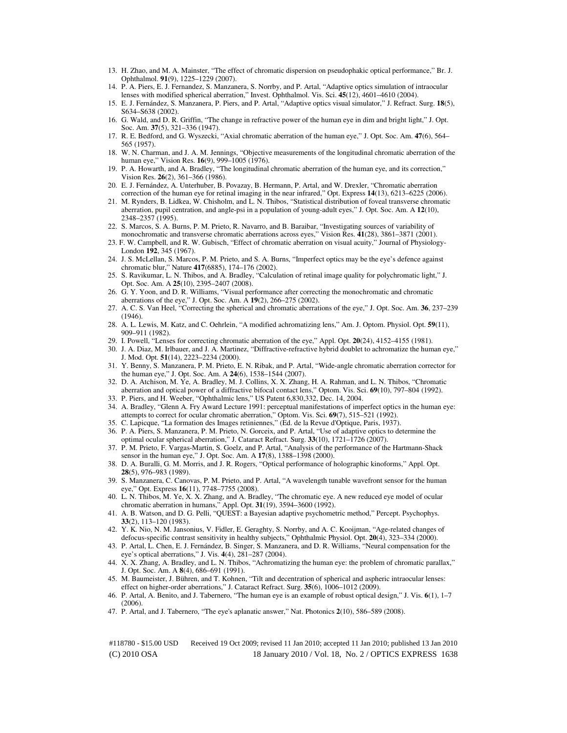- 13. H. Zhao, and M. A. Mainster, "The effect of chromatic dispersion on pseudophakic optical performance," Br. J. Ophthalmol. **91**(9), 1225–1229 (2007).
- 14. P. A. Piers, E. J. Fernandez, S. Manzanera, S. Norrby, and P. Artal, "Adaptive optics simulation of intraocular lenses with modified spherical aberration," Invest. Ophthalmol. Vis. Sci. **45**(12), 4601–4610 (2004).
- 15. E. J. Fernández, S. Manzanera, P. Piers, and P. Artal, "Adaptive optics visual simulator," J. Refract. Surg. **18**(5), S634–S638 (2002).
- 16. G. Wald, and D. R. Griffin, "The change in refractive power of the human eye in dim and bright light," J. Opt. Soc. Am. **37**(5), 321–336 (1947).
- 17. R. E. Bedford, and G. Wyszecki, "Axial chromatic aberration of the human eye," J. Opt. Soc. Am. **47**(6), 564– 565 (1957).
- 18. W. N. Charman, and J. A. M. Jennings, "Objective measurements of the longitudinal chromatic aberration of the human eye," Vision Res. **16**(9), 999–1005 (1976).
- 19. P. A. Howarth, and A. Bradley, "The longitudinal chromatic aberration of the human eye, and its correction," Vision Res. **26**(2), 361–366 (1986).
- 20. E. J. Fernández, A. Unterhuber, B. Povazay, B. Hermann, P. Artal, and W. Drexler, "Chromatic aberration correction of the human eye for retinal imaging in the near infrared," Opt. Express **14**(13), 6213–6225 (2006).
- 21. M. Rynders, B. Lidkea, W. Chisholm, and L. N. Thibos, "Statistical distribution of foveal transverse chromatic aberration, pupil centration, and angle-psi in a population of young-adult eyes," J. Opt. Soc. Am. A **12**(10), 2348–2357 (1995).
- 22. S. Marcos, S. A. Burns, P. M. Prieto, R. Navarro, and B. Baraibar, "Investigating sources of variability of monochromatic and transverse chromatic aberrations across eyes," Vision Res. **41**(28), 3861–3871 (2001).
- 23. F. W. Campbell, and R. W. Gubisch, "Effect of chromatic aberration on visual acuity," Journal of Physiology-London **192**, 345 (1967).
- 24. J. S. McLellan, S. Marcos, P. M. Prieto, and S. A. Burns, "Imperfect optics may be the eye's defence against chromatic blur," Nature **417**(6885), 174–176 (2002).
- 25. S. Ravikumar, L. N. Thibos, and A. Bradley, "Calculation of retinal image quality for polychromatic light," J. Opt. Soc. Am. A **25**(10), 2395–2407 (2008).
- 26. G. Y. Yoon, and D. R. Williams, "Visual performance after correcting the monochromatic and chromatic aberrations of the eye," J. Opt. Soc. Am. A **19**(2), 266–275 (2002).
- 27. A. C. S. Van Heel, "Correcting the spherical and chromatic aberrations of the eye," J. Opt. Soc. Am. **36**, 237–239 (1946).
- 28. A. L. Lewis, M. Katz, and C. Oehrlein, "A modified achromatizing lens," Am. J. Optom. Physiol. Opt. **59**(11), 909–911 (1982).
- 29. I. Powell, "Lenses for correcting chromatic aberration of the eye," Appl. Opt. **20**(24), 4152–4155 (1981).
- 30. J. A. Diaz, M. Irlbauer, and J. A. Martinez, "Diffractive-refractive hybrid doublet to achromatize the human eye," J. Mod. Opt. **51**(14), 2223–2234 (2000).
- 31. Y. Benny, S. Manzanera, P. M. Prieto, E. N. Ribak, and P. Artal, "Wide-angle chromatic aberration corrector for the human eye," J. Opt. Soc. Am. A **24**(6), 1538–1544 (2007).
- 32. D. A. Atchison, M. Ye, A. Bradley, M. J. Collins, X. X. Zhang, H. A. Rahman, and L. N. Thibos, "Chromatic aberration and optical power of a diffractive bifocal contact lens," Optom. Vis. Sci. **69**(10), 797–804 (1992).
- 33. P. Piers, and H. Weeber, "Ophthalmic lens," US Patent 6,830,332, Dec. 14, 2004.
- 34. A. Bradley, "Glenn A. Fry Award Lecture 1991: perceptual manifestations of imperfect optics in the human eye: attempts to correct for ocular chromatic aberration," Optom. Vis. Sci. **69**(7), 515–521 (1992).
- 35. C. Lapicque, "La formation des Images retiniennes," (Ed. de la Revue d'Optique, Paris, 1937).
- 36. P. A. Piers, S. Manzanera, P. M. Prieto, N. Gorceix, and P. Artal, "Use of adaptive optics to determine the optimal ocular spherical aberration," J. Cataract Refract. Surg. **33**(10), 1721–1726 (2007).
- 37. P. M. Prieto, F. Vargas-Martin, S. Goelz, and P. Artal, "Analysis of the performance of the Hartmann-Shack sensor in the human eye," J. Opt. Soc. Am. A **17**(8), 1388–1398 (2000).
- 38. D. A. Buralli, G. M. Morris, and J. R. Rogers, "Optical performance of holographic kinoforms," Appl. Opt. **28**(5), 976–983 (1989).
- 39. S. Manzanera, C. Canovas, P. M. Prieto, and P. Artal, "A wavelength tunable wavefront sensor for the human eye," Opt. Express **16**(11), 7748–7755 (2008).
- 40. L. N. Thibos, M. Ye, X. X. Zhang, and A. Bradley, "The chromatic eye. A new reduced eye model of ocular chromatic aberration in humans," Appl. Opt. **31**(19), 3594–3600 (1992).
- 41. A. B. Watson, and D. G. Pelli, "QUEST: a Bayesian adaptive psychometric method," Percept. Psychophys. **33**(2), 113–120 (1983).
- 42. Y. K. Nio, N. M. Jansonius, V. Fidler, E. Geraghty, S. Norrby, and A. C. Kooijman, "Age-related changes of defocus-specific contrast sensitivity in healthy subjects," Ophthalmic Physiol. Opt. **20**(4), 323–334 (2000).
- 43. P. Artal, L. Chen, E. J. Fernández, B. Singer, S. Manzanera, and D. R. Williams, "Neural compensation for the eye's optical aberrations," J. Vis. **4**(4), 281–287 (2004).
- 44. X. X. Zhang, A. Bradley, and L. N. Thibos, "Achromatizing the human eye: the problem of chromatic parallax," J. Opt. Soc. Am. A **8**(4), 686–691 (1991).
- 45. M. Baumeister, J. Bühren, and T. Kohnen, "Tilt and decentration of spherical and aspheric intraocular lenses: effect on higher-order aberrations," J. Cataract Refract. Surg. **35**(6), 1006–1012 (2009).
- 46. P. Artal, A. Benito, and J. Tabernero, "The human eye is an example of robust optical design," J. Vis. **6**(1), 1–7  $(2006)$ .
- 47. P. Artal, and J. Tabernero, "The eye's aplanatic answer," Nat. Photonics **2**(10), 586–589 (2008).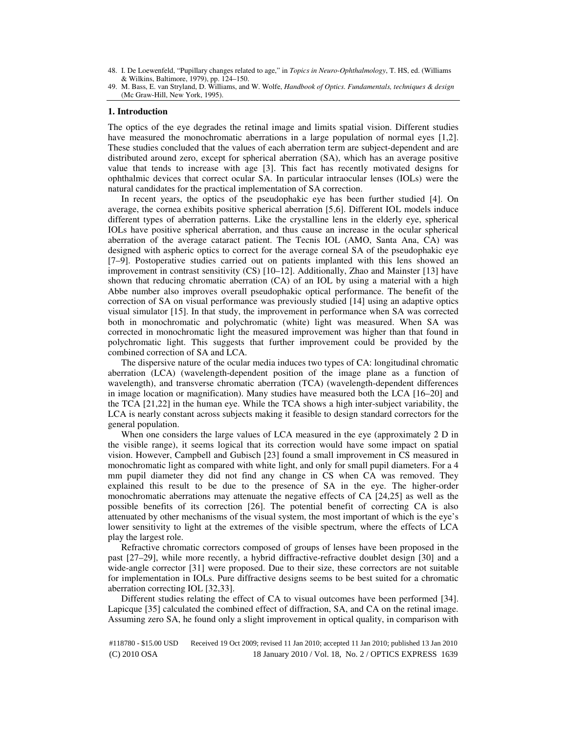48. I. De Loewenfeld, "Pupillary changes related to age," in *Topics in Neuro-Ophthalmology*, T. HS, ed. (Williams & Wilkins, Baltimore, 1979), pp. 124–150.

#### **1. Introduction**

The optics of the eye degrades the retinal image and limits spatial vision. Different studies have measured the monochromatic aberrations in a large population of normal eyes [1,2]. These studies concluded that the values of each aberration term are subject-dependent and are distributed around zero, except for spherical aberration (SA), which has an average positive value that tends to increase with age [3]. This fact has recently motivated designs for ophthalmic devices that correct ocular SA. In particular intraocular lenses (IOLs) were the natural candidates for the practical implementation of SA correction.

In recent years, the optics of the pseudophakic eye has been further studied [4]. On average, the cornea exhibits positive spherical aberration [5,6]. Different IOL models induce different types of aberration patterns. Like the crystalline lens in the elderly eye, spherical IOLs have positive spherical aberration, and thus cause an increase in the ocular spherical aberration of the average cataract patient. The Tecnis IOL (AMO, Santa Ana, CA) was designed with aspheric optics to correct for the average corneal SA of the pseudophakic eye [7–9]. Postoperative studies carried out on patients implanted with this lens showed an improvement in contrast sensitivity (CS) [10–12]. Additionally, Zhao and Mainster [13] have shown that reducing chromatic aberration (CA) of an IOL by using a material with a high Abbe number also improves overall pseudophakic optical performance. The benefit of the correction of SA on visual performance was previously studied [14] using an adaptive optics visual simulator [15]. In that study, the improvement in performance when SA was corrected both in monochromatic and polychromatic (white) light was measured. When SA was corrected in monochromatic light the measured improvement was higher than that found in polychromatic light. This suggests that further improvement could be provided by the combined correction of SA and LCA.

The dispersive nature of the ocular media induces two types of CA: longitudinal chromatic aberration (LCA) (wavelength-dependent position of the image plane as a function of wavelength), and transverse chromatic aberration (TCA) (wavelength-dependent differences in image location or magnification). Many studies have measured both the LCA [16–20] and the TCA [21,22] in the human eye. While the TCA shows a high inter-subject variability, the LCA is nearly constant across subjects making it feasible to design standard correctors for the general population.

When one considers the large values of LCA measured in the eye (approximately 2 D in the visible range), it seems logical that its correction would have some impact on spatial vision. However, Campbell and Gubisch [23] found a small improvement in CS measured in monochromatic light as compared with white light, and only for small pupil diameters. For a 4 mm pupil diameter they did not find any change in CS when CA was removed. They explained this result to be due to the presence of SA in the eye. The higher-order monochromatic aberrations may attenuate the negative effects of CA [24,25] as well as the possible benefits of its correction [26]. The potential benefit of correcting CA is also attenuated by other mechanisms of the visual system, the most important of which is the eye's lower sensitivity to light at the extremes of the visible spectrum, where the effects of LCA play the largest role.

Refractive chromatic correctors composed of groups of lenses have been proposed in the past [27–29], while more recently, a hybrid diffractive-refractive doublet design [30] and a wide-angle corrector [31] were proposed. Due to their size, these correctors are not suitable for implementation in IOLs. Pure diffractive designs seems to be best suited for a chromatic aberration correcting IOL [32,33].

Different studies relating the effect of CA to visual outcomes have been performed [34]. Lapicque [35] calculated the combined effect of diffraction, SA, and CA on the retinal image. Assuming zero SA, he found only a slight improvement in optical quality, in comparison with

<sup>49.</sup> M. Bass, E. van Stryland, D. Williams, and W. Wolfe, *Handbook of Optics. Fundamentals, techniques & design* (Mc Graw-Hill, New York, 1995).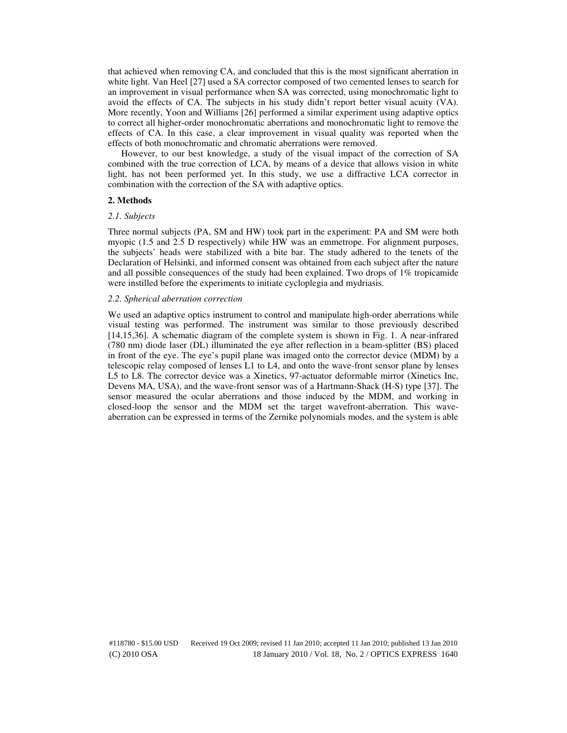that achieved when removing CA, and concluded that this is the most significant aberration in white light. Van Heel [27] used a SA corrector composed of two cemented lenses to search for an improvement in visual performance when SA was corrected, using monochromatic light to avoid the effects of CA. The subjects in his study didn't report better visual acuity (VA). More recently, Yoon and Williams [26] performed a similar experiment using adaptive optics to correct all higher-order monochromatic aberrations and monochromatic light to remove the effects of CA. In this case, a clear improvement in visual quality was reported when the effects of both monochromatic and chromatic aberrations were removed.

However, to our best knowledge, a study of the visual impact of the correction of SA combined with the true correction of LCA, by means of a device that allows vision in white light, has not been performed yet. In this study, we use a diffractive LCA corrector in combination with the correction of the SA with adaptive optics.

## **2. Methods**

## *2.1. Subjects*

Three normal subjects (PA, SM and HW) took part in the experiment: PA and SM were both myopic (1.5 and 2.5 D respectively) while HW was an emmetrope. For alignment purposes, the subjects' heads were stabilized with a bite bar. The study adhered to the tenets of the Declaration of Helsinki, and informed consent was obtained from each subject after the nature and all possible consequences of the study had been explained. Two drops of 1% tropicamide were instilled before the experiments to initiate cycloplegia and mydriasis.

## *2.2. Spherical aberration correction*

We used an adaptive optics instrument to control and manipulate high-order aberrations while visual testing was performed. The instrument was similar to those previously described [14,15,36]. A schematic diagram of the complete system is shown in Fig. 1. A near-infrared (780 nm) diode laser (DL) illuminated the eye after reflection in a beam-splitter (BS) placed in front of the eye. The eye's pupil plane was imaged onto the corrector device (MDM) by a telescopic relay composed of lenses L1 to L4, and onto the wave-front sensor plane by lenses L5 to L8. The corrector device was a Xinetics, 97-actuator deformable mirror (Xinetics Inc, Devens MA, USA), and the wave-front sensor was of a Hartmann-Shack (H-S) type [37]. The sensor measured the ocular aberrations and those induced by the MDM, and working in closed-loop the sensor and the MDM set the target wavefront-aberration. This waveaberration can be expressed in terms of the Zernike polynomials modes, and the system is able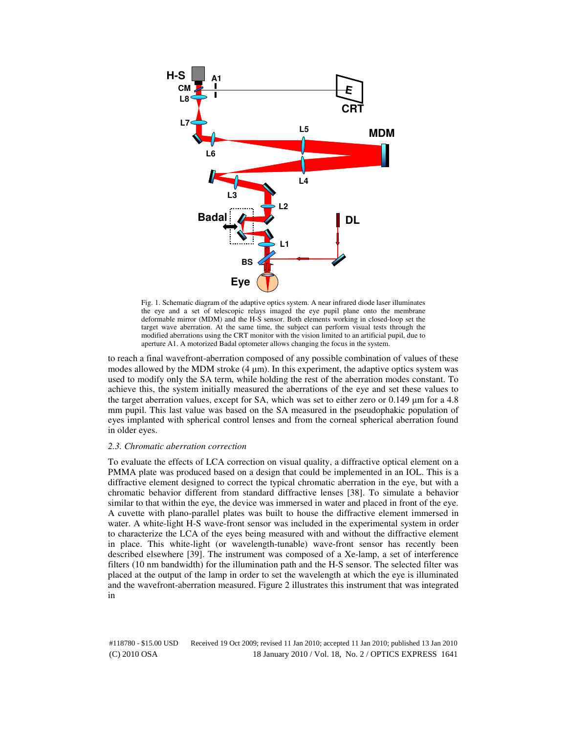

Fig. 1. Schematic diagram of the adaptive optics system. A near infrared diode laser illuminates the eye and a set of telescopic relays imaged the eye pupil plane onto the membrane deformable mirror (MDM) and the H-S sensor. Both elements working in closed-loop set the target wave aberration. At the same time, the subject can perform visual tests through the modified aberrations using the CRT monitor with the vision limited to an artificial pupil, due to aperture A1. A motorized Badal optometer allows changing the focus in the system.

to reach a final wavefront-aberration composed of any possible combination of values of these modes allowed by the MDM stroke  $(4 \mu m)$ . In this experiment, the adaptive optics system was used to modify only the SA term, while holding the rest of the aberration modes constant. To achieve this, the system initially measured the aberrations of the eye and set these values to the target aberration values, except for SA, which was set to either zero or 0.149  $\mu$ m for a 4.8 mm pupil. This last value was based on the SA measured in the pseudophakic population of eyes implanted with spherical control lenses and from the corneal spherical aberration found in older eyes.

#### *2.3. Chromatic aberration correction*

To evaluate the effects of LCA correction on visual quality, a diffractive optical element on a PMMA plate was produced based on a design that could be implemented in an IOL. This is a diffractive element designed to correct the typical chromatic aberration in the eye, but with a chromatic behavior different from standard diffractive lenses [38]. To simulate a behavior similar to that within the eye, the device was immersed in water and placed in front of the eye. A cuvette with plano-parallel plates was built to house the diffractive element immersed in water. A white-light H-S wave-front sensor was included in the experimental system in order to characterize the LCA of the eyes being measured with and without the diffractive element in place. This white-light (or wavelength-tunable) wave-front sensor has recently been described elsewhere [39]. The instrument was composed of a Xe-lamp, a set of interference filters (10 nm bandwidth) for the illumination path and the H-S sensor. The selected filter was placed at the output of the lamp in order to set the wavelength at which the eye is illuminated and the wavefront-aberration measured. Figure 2 illustrates this instrument that was integrated in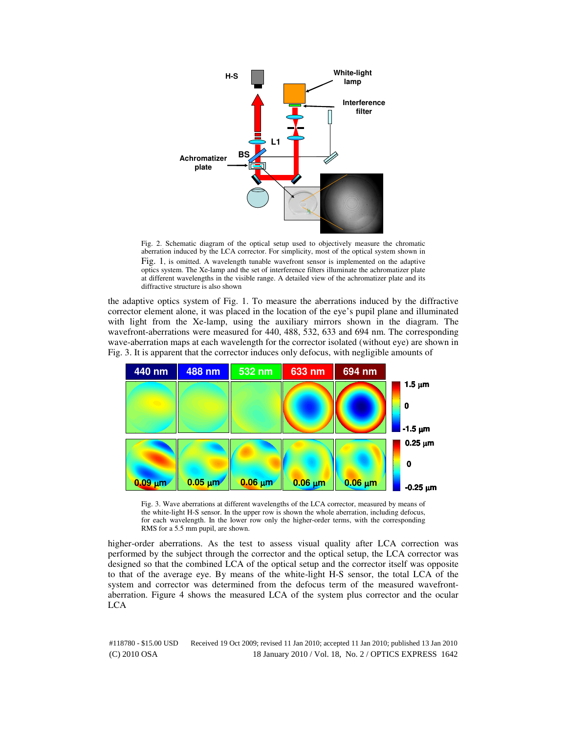

Fig. 2. Schematic diagram of the optical setup used to objectively measure the chromatic aberration induced by the LCA corrector. For simplicity, most of the optical system shown in Fig. 1, is omitted. A wavelength tunable wavefront sensor is implemented on the adaptive optics system. The Xe-lamp and the set of interference filters illuminate the achromatizer plate at different wavelengths in the visible range. A detailed view of the achromatizer plate and its diffractive structure is also shown

the adaptive optics system of Fig. 1. To measure the aberrations induced by the diffractive corrector element alone, it was placed in the location of the eye's pupil plane and illuminated with light from the Xe-lamp, using the auxiliary mirrors shown in the diagram. The wavefront-aberrations were measured for 440, 488, 532, 633 and 694 nm. The corresponding wave-aberration maps at each wavelength for the corrector isolated (without eye) are shown in Fig. 3. It is apparent that the corrector induces only defocus, with negligible amounts of



Fig. 3. Wave aberrations at different wavelengths of the LCA corrector, measured by means of the white-light H-S sensor. In the upper row is shown the whole aberration, including defocus, for each wavelength. In the lower row only the higher-order terms, with the corresponding RMS for a 5.5 mm pupil, are shown.

higher-order aberrations. As the test to assess visual quality after LCA correction was performed by the subject through the corrector and the optical setup, the LCA corrector was designed so that the combined LCA of the optical setup and the corrector itself was opposite to that of the average eye. By means of the white-light H-S sensor, the total LCA of the system and corrector was determined from the defocus term of the measured wavefrontaberration. Figure 4 shows the measured LCA of the system plus corrector and the ocular LCA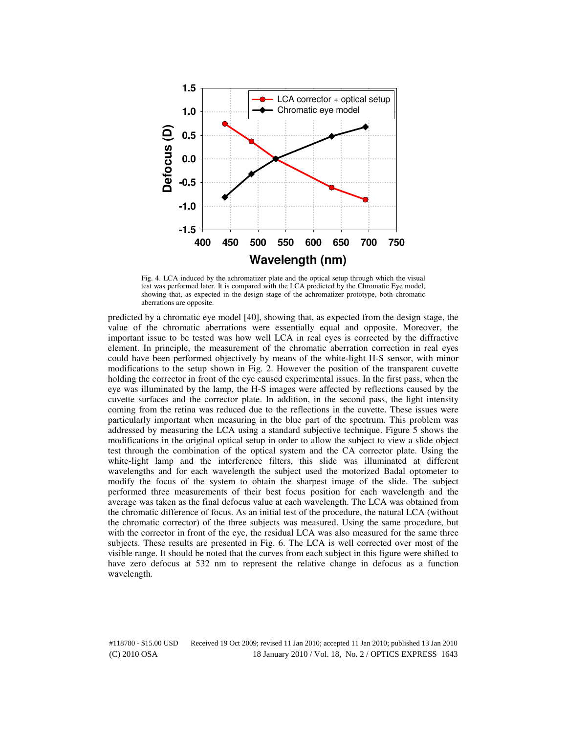

Fig. 4. LCA induced by the achromatizer plate and the optical setup through which the visual test was performed later. It is compared with the LCA predicted by the Chromatic Eye model, showing that, as expected in the design stage of the achromatizer prototype, both chromatic aberrations are opposite.

predicted by a chromatic eye model [40], showing that, as expected from the design stage, the value of the chromatic aberrations were essentially equal and opposite. Moreover, the important issue to be tested was how well LCA in real eyes is corrected by the diffractive element. In principle, the measurement of the chromatic aberration correction in real eyes could have been performed objectively by means of the white-light H-S sensor, with minor modifications to the setup shown in Fig. 2. However the position of the transparent cuvette holding the corrector in front of the eye caused experimental issues. In the first pass, when the eye was illuminated by the lamp, the H-S images were affected by reflections caused by the cuvette surfaces and the corrector plate. In addition, in the second pass, the light intensity coming from the retina was reduced due to the reflections in the cuvette. These issues were particularly important when measuring in the blue part of the spectrum. This problem was addressed by measuring the LCA using a standard subjective technique. Figure 5 shows the modifications in the original optical setup in order to allow the subject to view a slide object test through the combination of the optical system and the CA corrector plate. Using the white-light lamp and the interference filters, this slide was illuminated at different wavelengths and for each wavelength the subject used the motorized Badal optometer to modify the focus of the system to obtain the sharpest image of the slide. The subject performed three measurements of their best focus position for each wavelength and the average was taken as the final defocus value at each wavelength. The LCA was obtained from the chromatic difference of focus. As an initial test of the procedure, the natural LCA (without the chromatic corrector) of the three subjects was measured. Using the same procedure, but with the corrector in front of the eye, the residual LCA was also measured for the same three subjects. These results are presented in Fig. 6. The LCA is well corrected over most of the visible range. It should be noted that the curves from each subject in this figure were shifted to have zero defocus at 532 nm to represent the relative change in defocus as a function wavelength.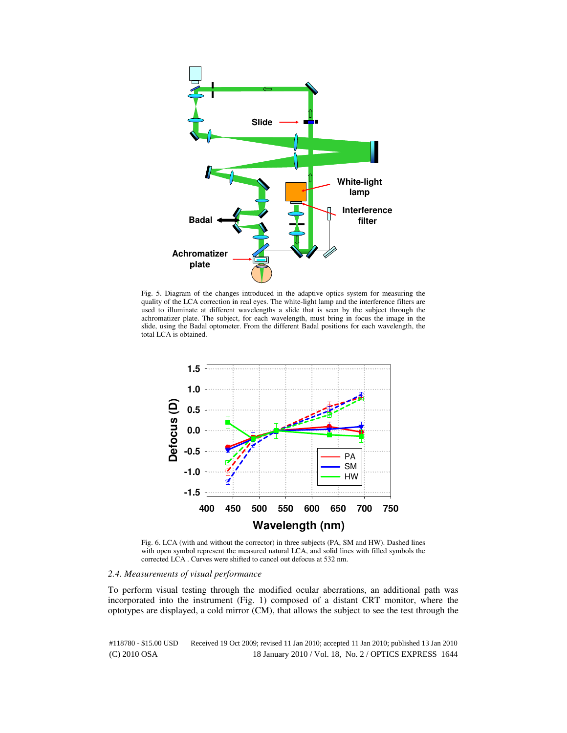

Fig. 5. Diagram of the changes introduced in the adaptive optics system for measuring the quality of the LCA correction in real eyes. The white-light lamp and the interference filters are used to illuminate at different wavelengths a slide that is seen by the subject through the achromatizer plate. The subject, for each wavelength, must bring in focus the image in the slide, using the Badal optometer. From the different Badal positions for each wavelength, the total LCA is obtained.



Fig. 6. LCA (with and without the corrector) in three subjects (PA, SM and HW). Dashed lines with open symbol represent the measured natural LCA, and solid lines with filled symbols the corrected LCA . Curves were shifted to cancel out defocus at 532 nm.

## *2.4. Measurements of visual performance*

To perform visual testing through the modified ocular aberrations, an additional path was incorporated into the instrument (Fig. 1) composed of a distant CRT monitor, where the optotypes are displayed, a cold mirror (CM), that allows the subject to see the test through the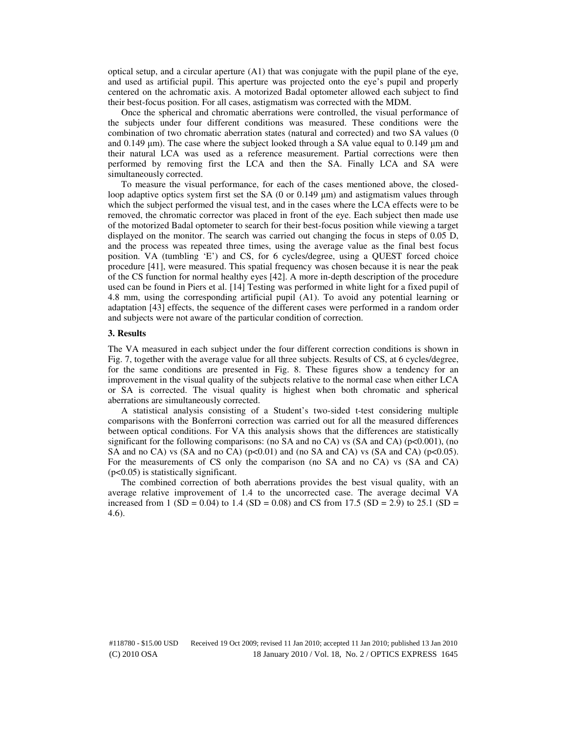optical setup, and a circular aperture (A1) that was conjugate with the pupil plane of the eye, and used as artificial pupil. This aperture was projected onto the eye's pupil and properly centered on the achromatic axis. A motorized Badal optometer allowed each subject to find their best-focus position. For all cases, astigmatism was corrected with the MDM.

Once the spherical and chromatic aberrations were controlled, the visual performance of the subjects under four different conditions was measured. These conditions were the combination of two chromatic aberration states (natural and corrected) and two SA values (0 and 0.149 µm). The case where the subject looked through a SA value equal to 0.149 µm and their natural LCA was used as a reference measurement. Partial corrections were then performed by removing first the LCA and then the SA. Finally LCA and SA were simultaneously corrected.

To measure the visual performance, for each of the cases mentioned above, the closedloop adaptive optics system first set the SA (0 or 0.149 µm) and astigmatism values through which the subject performed the visual test, and in the cases where the LCA effects were to be removed, the chromatic corrector was placed in front of the eye. Each subject then made use of the motorized Badal optometer to search for their best-focus position while viewing a target displayed on the monitor. The search was carried out changing the focus in steps of 0.05 D, and the process was repeated three times, using the average value as the final best focus position. VA (tumbling 'E') and CS, for 6 cycles/degree, using a QUEST forced choice procedure [41], were measured. This spatial frequency was chosen because it is near the peak of the CS function for normal healthy eyes [42]. A more in-depth description of the procedure used can be found in Piers et al. [14] Testing was performed in white light for a fixed pupil of 4.8 mm, using the corresponding artificial pupil (A1). To avoid any potential learning or adaptation [43] effects, the sequence of the different cases were performed in a random order and subjects were not aware of the particular condition of correction.

#### **3. Results**

The VA measured in each subject under the four different correction conditions is shown in Fig. 7, together with the average value for all three subjects. Results of CS, at 6 cycles/degree, for the same conditions are presented in Fig. 8. These figures show a tendency for an improvement in the visual quality of the subjects relative to the normal case when either LCA or SA is corrected. The visual quality is highest when both chromatic and spherical aberrations are simultaneously corrected.

A statistical analysis consisting of a Student's two-sided t-test considering multiple comparisons with the Bonferroni correction was carried out for all the measured differences between optical conditions. For VA this analysis shows that the differences are statistically significant for the following comparisons: (no SA and no CA) vs  $(SA \text{ and } CA)$  (p<0.001), (no SA and no CA) vs  $(SA \text{ and no CA})$  (p<0.01) and (no SA and CA) vs  $(SA \text{ and CA})$  (p<0.05). For the measurements of CS only the comparison (no SA and no CA) vs (SA and CA) (p<0.05) is statistically significant.

The combined correction of both aberrations provides the best visual quality, with an average relative improvement of 1.4 to the uncorrected case. The average decimal VA increased from 1 (SD = 0.04) to 1.4 (SD = 0.08) and CS from 17.5 (SD = 2.9) to 25.1 (SD = 4.6).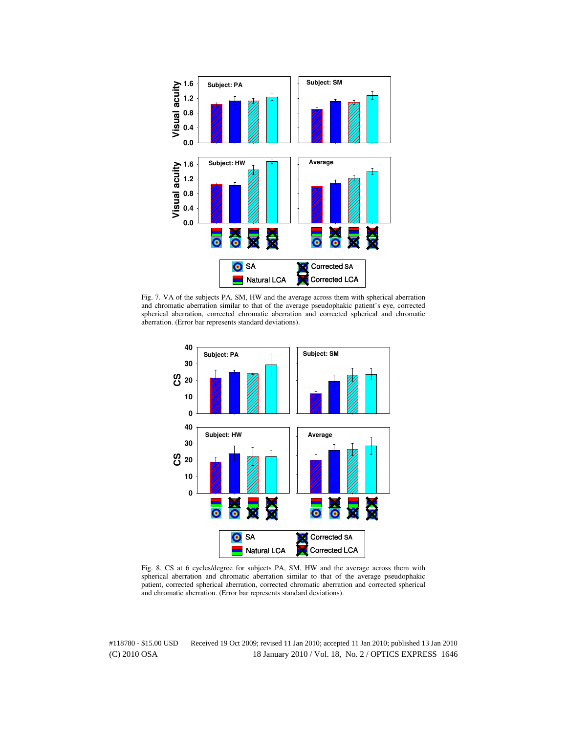

Fig. 7. VA of the subjects PA, SM, HW and the average across them with spherical aberration and chromatic aberration similar to that of the average pseudophakic patient's eye, corrected spherical aberration, corrected chromatic aberration and corrected spherical and chromatic aberration. (Error bar represents standard deviations).



Fig. 8. CS at 6 cycles/degree for subjects PA, SM, HW and the average across them with spherical aberration and chromatic aberration similar to that of the average pseudophakic patient, corrected spherical aberration, corrected chromatic aberration and corrected spherical and chromatic aberration. (Error bar represents standard deviations).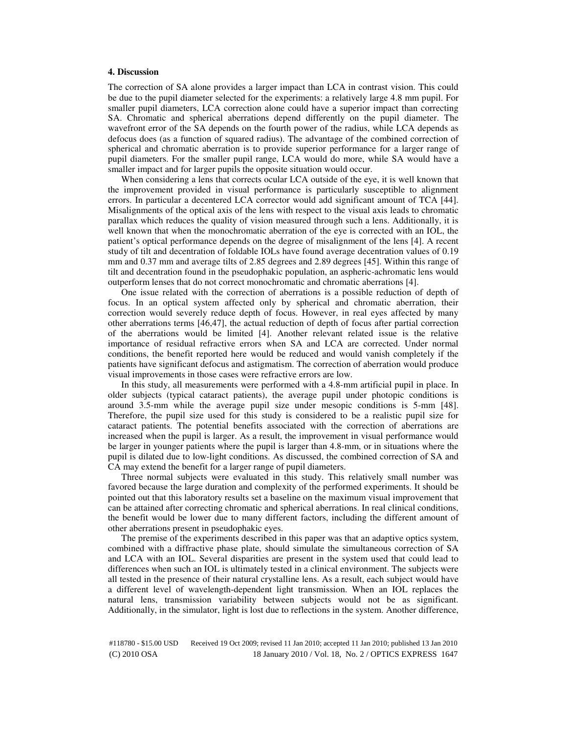# **4. Discussion**

The correction of SA alone provides a larger impact than LCA in contrast vision. This could be due to the pupil diameter selected for the experiments: a relatively large 4.8 mm pupil. For smaller pupil diameters, LCA correction alone could have a superior impact than correcting SA. Chromatic and spherical aberrations depend differently on the pupil diameter. The wavefront error of the SA depends on the fourth power of the radius, while LCA depends as defocus does (as a function of squared radius). The advantage of the combined correction of spherical and chromatic aberration is to provide superior performance for a larger range of pupil diameters. For the smaller pupil range, LCA would do more, while SA would have a smaller impact and for larger pupils the opposite situation would occur.

When considering a lens that corrects ocular LCA outside of the eye, it is well known that the improvement provided in visual performance is particularly susceptible to alignment errors. In particular a decentered LCA corrector would add significant amount of TCA [44]. Misalignments of the optical axis of the lens with respect to the visual axis leads to chromatic parallax which reduces the quality of vision measured through such a lens. Additionally, it is well known that when the monochromatic aberration of the eye is corrected with an IOL, the patient's optical performance depends on the degree of misalignment of the lens [4]. A recent study of tilt and decentration of foldable IOLs have found average decentration values of 0.19 mm and 0.37 mm and average tilts of 2.85 degrees and 2.89 degrees [45]. Within this range of tilt and decentration found in the pseudophakic population, an aspheric-achromatic lens would outperform lenses that do not correct monochromatic and chromatic aberrations [4].

One issue related with the correction of aberrations is a possible reduction of depth of focus. In an optical system affected only by spherical and chromatic aberration, their correction would severely reduce depth of focus. However, in real eyes affected by many other aberrations terms [46,47], the actual reduction of depth of focus after partial correction of the aberrations would be limited [4]. Another relevant related issue is the relative importance of residual refractive errors when SA and LCA are corrected. Under normal conditions, the benefit reported here would be reduced and would vanish completely if the patients have significant defocus and astigmatism. The correction of aberration would produce visual improvements in those cases were refractive errors are low.

In this study, all measurements were performed with a 4.8-mm artificial pupil in place. In older subjects (typical cataract patients), the average pupil under photopic conditions is around 3.5-mm while the average pupil size under mesopic conditions is 5-mm [48]. Therefore, the pupil size used for this study is considered to be a realistic pupil size for cataract patients. The potential benefits associated with the correction of aberrations are increased when the pupil is larger. As a result, the improvement in visual performance would be larger in younger patients where the pupil is larger than 4.8-mm, or in situations where the pupil is dilated due to low-light conditions. As discussed, the combined correction of SA and CA may extend the benefit for a larger range of pupil diameters.

Three normal subjects were evaluated in this study. This relatively small number was favored because the large duration and complexity of the performed experiments. It should be pointed out that this laboratory results set a baseline on the maximum visual improvement that can be attained after correcting chromatic and spherical aberrations. In real clinical conditions, the benefit would be lower due to many different factors, including the different amount of other aberrations present in pseudophakic eyes.

The premise of the experiments described in this paper was that an adaptive optics system, combined with a diffractive phase plate, should simulate the simultaneous correction of SA and LCA with an IOL. Several disparities are present in the system used that could lead to differences when such an IOL is ultimately tested in a clinical environment. The subjects were all tested in the presence of their natural crystalline lens. As a result, each subject would have a different level of wavelength-dependent light transmission. When an IOL replaces the natural lens, transmission variability between subjects would not be as significant. Additionally, in the simulator, light is lost due to reflections in the system. Another difference,